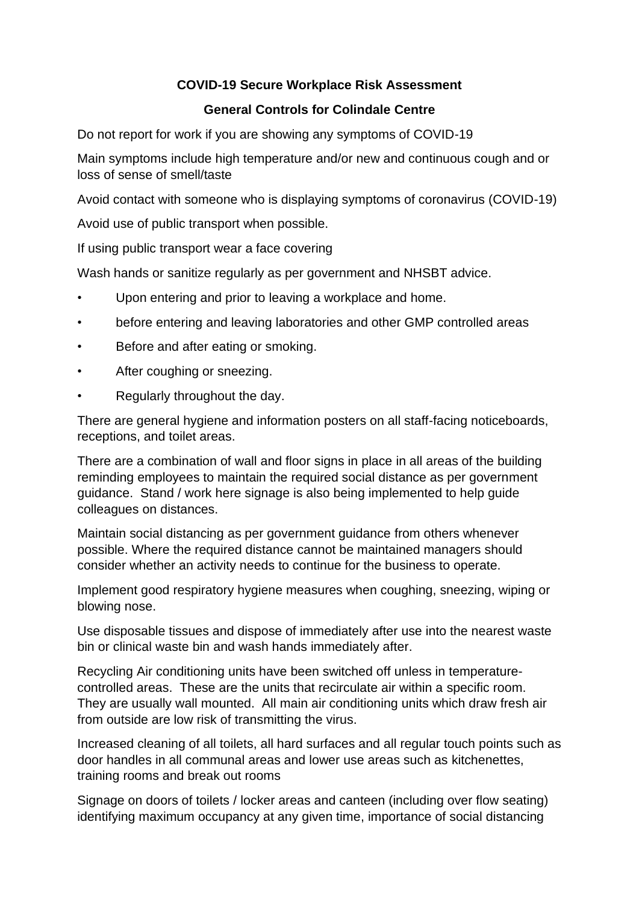## **COVID-19 Secure Workplace Risk Assessment**

## **General Controls for Colindale Centre**

Do not report for work if you are showing any symptoms of COVID-19

Main symptoms include high temperature and/or new and continuous cough and or loss of sense of smell/taste

Avoid contact with someone who is displaying symptoms of coronavirus (COVID-19)

Avoid use of public transport when possible.

If using public transport wear a face covering

Wash hands or sanitize regularly as per government and NHSBT advice.

- Upon entering and prior to leaving a workplace and home.
- before entering and leaving laboratories and other GMP controlled areas
- Before and after eating or smoking.
- After coughing or sneezing.
- Regularly throughout the day.

There are general hygiene and information posters on all staff-facing noticeboards, receptions, and toilet areas.

There are a combination of wall and floor signs in place in all areas of the building reminding employees to maintain the required social distance as per government guidance. Stand / work here signage is also being implemented to help guide colleagues on distances.

Maintain social distancing as per government guidance from others whenever possible. Where the required distance cannot be maintained managers should consider whether an activity needs to continue for the business to operate.

Implement good respiratory hygiene measures when coughing, sneezing, wiping or blowing nose.

Use disposable tissues and dispose of immediately after use into the nearest waste bin or clinical waste bin and wash hands immediately after.

Recycling Air conditioning units have been switched off unless in temperaturecontrolled areas. These are the units that recirculate air within a specific room. They are usually wall mounted. All main air conditioning units which draw fresh air from outside are low risk of transmitting the virus.

Increased cleaning of all toilets, all hard surfaces and all regular touch points such as door handles in all communal areas and lower use areas such as kitchenettes, training rooms and break out rooms

Signage on doors of toilets / locker areas and canteen (including over flow seating) identifying maximum occupancy at any given time, importance of social distancing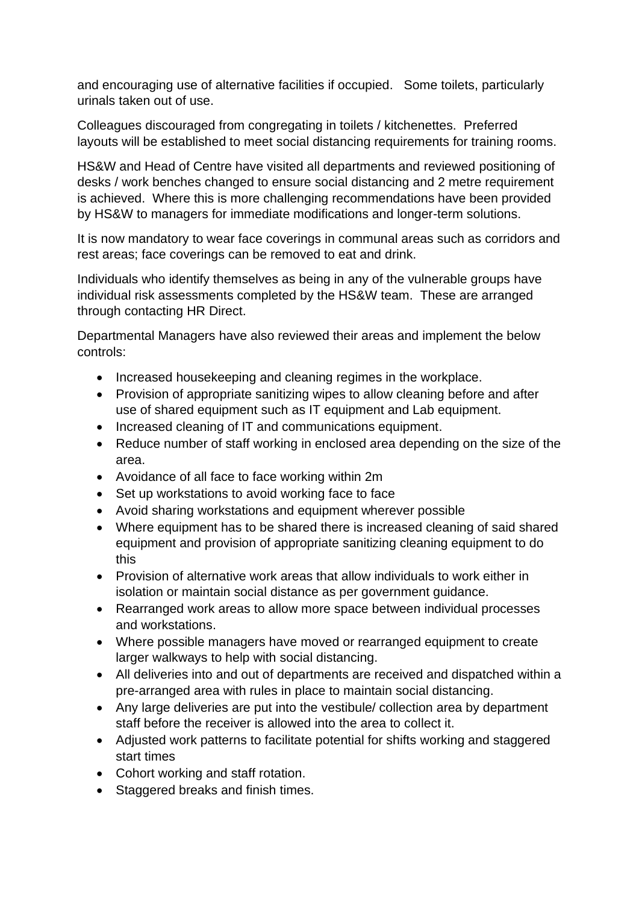and encouraging use of alternative facilities if occupied. Some toilets, particularly urinals taken out of use.

Colleagues discouraged from congregating in toilets / kitchenettes. Preferred layouts will be established to meet social distancing requirements for training rooms.

HS&W and Head of Centre have visited all departments and reviewed positioning of desks / work benches changed to ensure social distancing and 2 metre requirement is achieved. Where this is more challenging recommendations have been provided by HS&W to managers for immediate modifications and longer-term solutions.

It is now mandatory to wear face coverings in communal areas such as corridors and rest areas; face coverings can be removed to eat and drink.

Individuals who identify themselves as being in any of the vulnerable groups have individual risk assessments completed by the HS&W team. These are arranged through contacting HR Direct.

Departmental Managers have also reviewed their areas and implement the below controls:

- Increased housekeeping and cleaning regimes in the workplace.
- Provision of appropriate sanitizing wipes to allow cleaning before and after use of shared equipment such as IT equipment and Lab equipment.
- Increased cleaning of IT and communications equipment.
- Reduce number of staff working in enclosed area depending on the size of the area.
- Avoidance of all face to face working within 2m
- Set up workstations to avoid working face to face
- Avoid sharing workstations and equipment wherever possible
- Where equipment has to be shared there is increased cleaning of said shared equipment and provision of appropriate sanitizing cleaning equipment to do this
- Provision of alternative work areas that allow individuals to work either in isolation or maintain social distance as per government guidance.
- Rearranged work areas to allow more space between individual processes and workstations.
- Where possible managers have moved or rearranged equipment to create larger walkways to help with social distancing.
- All deliveries into and out of departments are received and dispatched within a pre-arranged area with rules in place to maintain social distancing.
- Any large deliveries are put into the vestibule/ collection area by department staff before the receiver is allowed into the area to collect it.
- Adjusted work patterns to facilitate potential for shifts working and staggered start times
- Cohort working and staff rotation.
- Staggered breaks and finish times.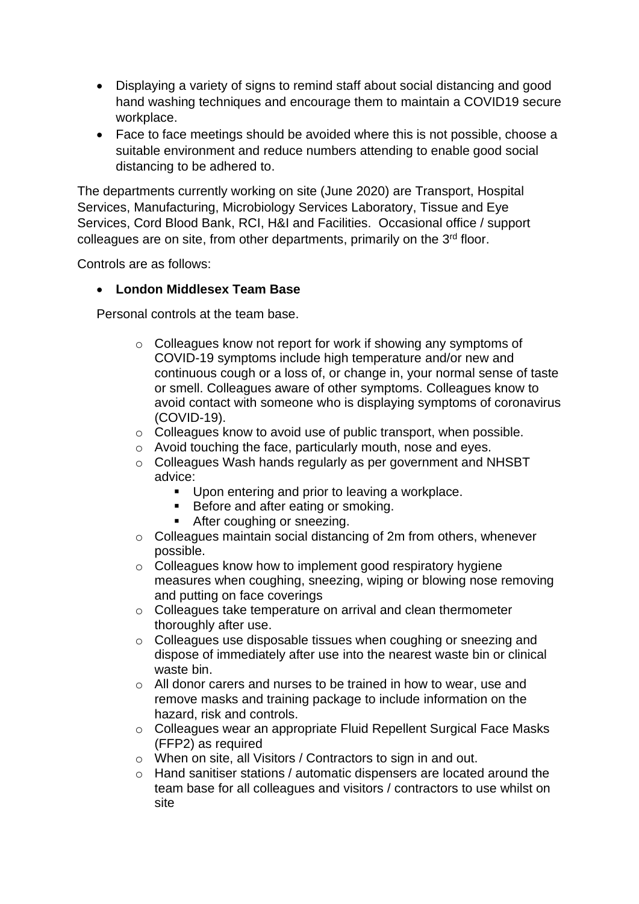- Displaying a variety of signs to remind staff about social distancing and good hand washing techniques and encourage them to maintain a COVID19 secure workplace.
- Face to face meetings should be avoided where this is not possible, choose a suitable environment and reduce numbers attending to enable good social distancing to be adhered to.

The departments currently working on site (June 2020) are Transport, Hospital Services, Manufacturing, Microbiology Services Laboratory, Tissue and Eye Services, Cord Blood Bank, RCI, H&I and Facilities. Occasional office / support colleagues are on site, from other departments, primarily on the 3<sup>rd</sup> floor.

Controls are as follows:

## • **London Middlesex Team Base**

Personal controls at the team base.

- o Colleagues know not report for work if showing any symptoms of COVID-19 symptoms include high temperature and/or new and continuous cough or a loss of, or change in, your normal sense of taste or smell. Colleagues aware of other symptoms. Colleagues know to avoid contact with someone who is displaying symptoms of coronavirus (COVID-19).
- o Colleagues know to avoid use of public transport, when possible.
- o Avoid touching the face, particularly mouth, nose and eyes.
- o Colleagues Wash hands regularly as per government and NHSBT advice:
	- Upon entering and prior to leaving a workplace.
	- Before and after eating or smoking.
	- After coughing or sneezing.
- o Colleagues maintain social distancing of 2m from others, whenever possible.
- o Colleagues know how to implement good respiratory hygiene measures when coughing, sneezing, wiping or blowing nose removing and putting on face coverings
- o Colleagues take temperature on arrival and clean thermometer thoroughly after use.
- o Colleagues use disposable tissues when coughing or sneezing and dispose of immediately after use into the nearest waste bin or clinical waste bin.
- o All donor carers and nurses to be trained in how to wear, use and remove masks and training package to include information on the hazard, risk and controls.
- o Colleagues wear an appropriate Fluid Repellent Surgical Face Masks (FFP2) as required
- o When on site, all Visitors / Contractors to sign in and out.
- o Hand sanitiser stations / automatic dispensers are located around the team base for all colleagues and visitors / contractors to use whilst on site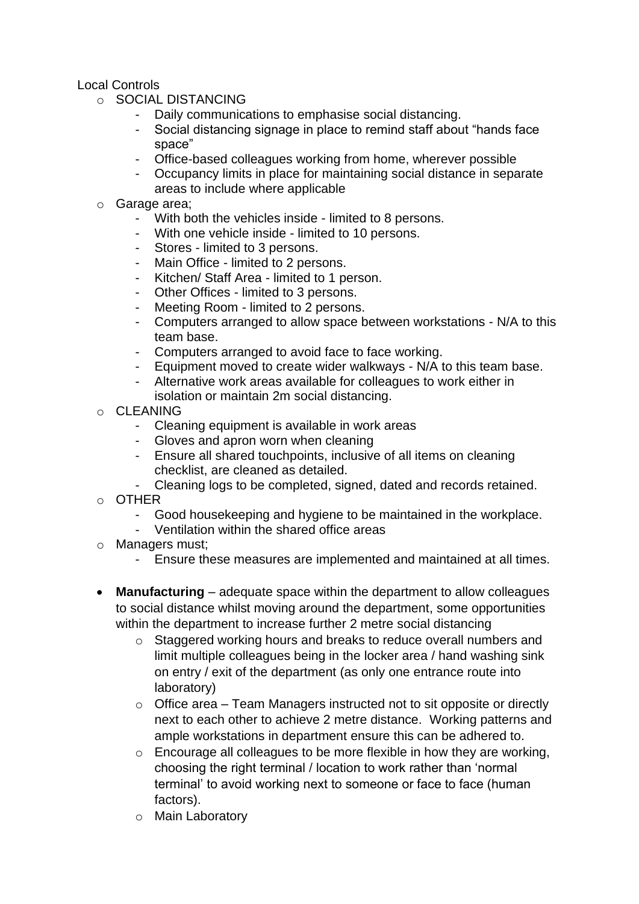## Local Controls

- o SOCIAL DISTANCING
	- Daily communications to emphasise social distancing.
	- Social distancing signage in place to remind staff about "hands face space"
	- Office-based colleagues working from home, wherever possible
	- Occupancy limits in place for maintaining social distance in separate areas to include where applicable
- o Garage area;
	- With both the vehicles inside limited to 8 persons.
	- With one vehicle inside limited to 10 persons.
	- Stores limited to 3 persons.
	- Main Office limited to 2 persons.
	- Kitchen/ Staff Area limited to 1 person.
	- Other Offices limited to 3 persons.
	- Meeting Room limited to 2 persons.
	- Computers arranged to allow space between workstations N/A to this team base.
	- Computers arranged to avoid face to face working.
	- Equipment moved to create wider walkways N/A to this team base.
	- Alternative work areas available for colleagues to work either in isolation or maintain 2m social distancing.
- o CLEANING
	- Cleaning equipment is available in work areas
	- Gloves and apron worn when cleaning
	- Ensure all shared touchpoints, inclusive of all items on cleaning checklist, are cleaned as detailed.
	- Cleaning logs to be completed, signed, dated and records retained.
- o OTHER
	- Good housekeeping and hygiene to be maintained in the workplace.
	- Ventilation within the shared office areas
- o Managers must;
	- Ensure these measures are implemented and maintained at all times.
- **Manufacturing** adequate space within the department to allow colleagues to social distance whilst moving around the department, some opportunities within the department to increase further 2 metre social distancing
	- o Staggered working hours and breaks to reduce overall numbers and limit multiple colleagues being in the locker area / hand washing sink on entry / exit of the department (as only one entrance route into laboratory)
	- $\circ$  Office area Team Managers instructed not to sit opposite or directly next to each other to achieve 2 metre distance. Working patterns and ample workstations in department ensure this can be adhered to.
	- $\circ$  Encourage all colleagues to be more flexible in how they are working, choosing the right terminal / location to work rather than 'normal terminal' to avoid working next to someone or face to face (human factors).
	- o Main Laboratory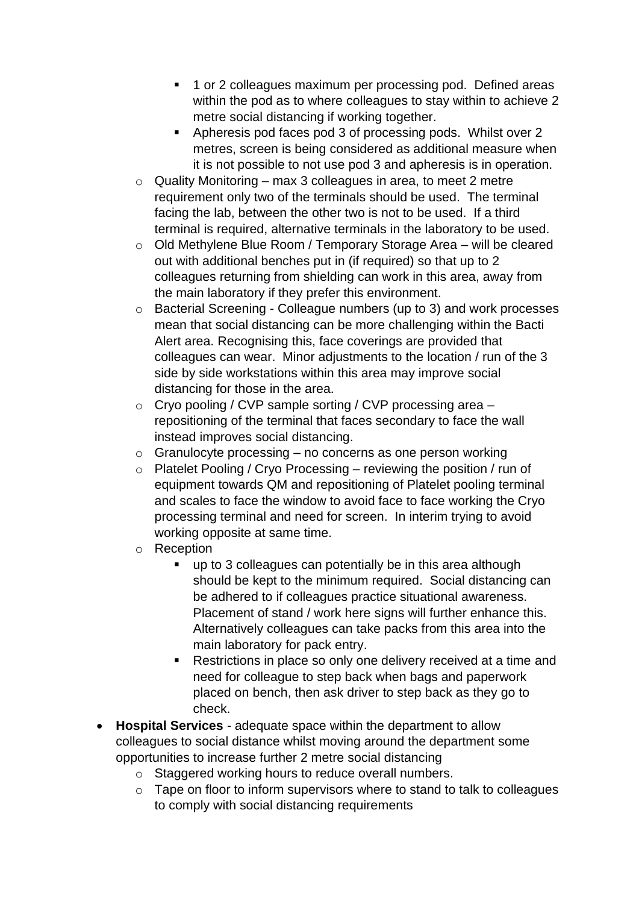- 1 or 2 colleagues maximum per processing pod. Defined areas within the pod as to where colleagues to stay within to achieve 2 metre social distancing if working together.
- Apheresis pod faces pod 3 of processing pods. Whilst over 2 metres, screen is being considered as additional measure when it is not possible to not use pod 3 and apheresis is in operation.
- $\circ$  Quality Monitoring max 3 colleagues in area, to meet 2 metre requirement only two of the terminals should be used. The terminal facing the lab, between the other two is not to be used. If a third terminal is required, alternative terminals in the laboratory to be used.
- $\circ$  Old Methylene Blue Room / Temporary Storage Area will be cleared out with additional benches put in (if required) so that up to 2 colleagues returning from shielding can work in this area, away from the main laboratory if they prefer this environment.
- o Bacterial Screening Colleague numbers (up to 3) and work processes mean that social distancing can be more challenging within the Bacti Alert area. Recognising this, face coverings are provided that colleagues can wear. Minor adjustments to the location / run of the 3 side by side workstations within this area may improve social distancing for those in the area.
- o Cryo pooling / CVP sample sorting / CVP processing area repositioning of the terminal that faces secondary to face the wall instead improves social distancing.
- $\circ$  Granulocyte processing no concerns as one person working
- $\circ$  Platelet Pooling / Cryo Processing reviewing the position / run of equipment towards QM and repositioning of Platelet pooling terminal and scales to face the window to avoid face to face working the Cryo processing terminal and need for screen. In interim trying to avoid working opposite at same time.
- o Reception
	- up to 3 colleagues can potentially be in this area although should be kept to the minimum required. Social distancing can be adhered to if colleagues practice situational awareness. Placement of stand / work here signs will further enhance this. Alternatively colleagues can take packs from this area into the main laboratory for pack entry.
	- Restrictions in place so only one delivery received at a time and need for colleague to step back when bags and paperwork placed on bench, then ask driver to step back as they go to check.
- **Hospital Services**  adequate space within the department to allow colleagues to social distance whilst moving around the department some opportunities to increase further 2 metre social distancing
	- o Staggered working hours to reduce overall numbers.
	- o Tape on floor to inform supervisors where to stand to talk to colleagues to comply with social distancing requirements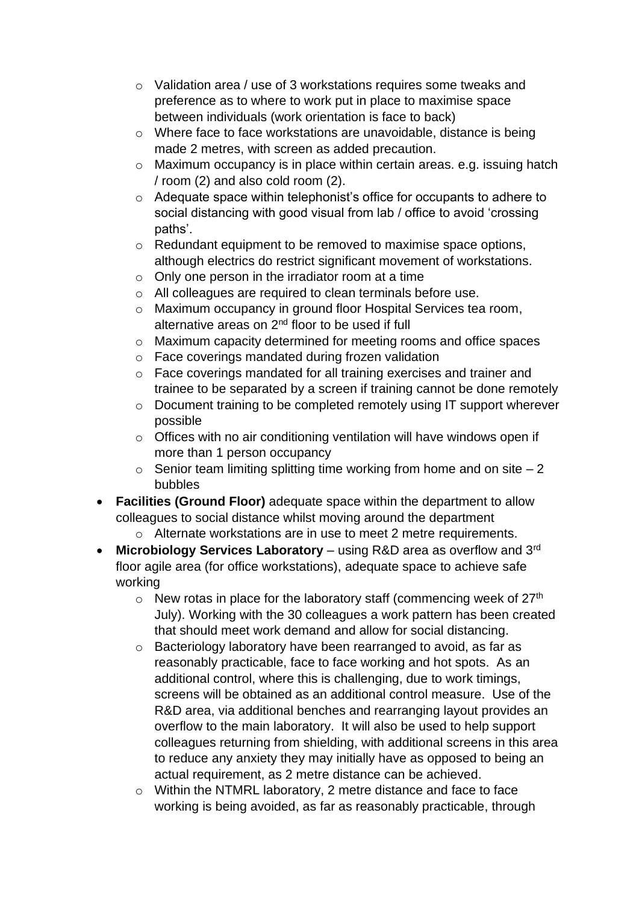- o Validation area / use of 3 workstations requires some tweaks and preference as to where to work put in place to maximise space between individuals (work orientation is face to back)
- o Where face to face workstations are unavoidable, distance is being made 2 metres, with screen as added precaution.
- o Maximum occupancy is in place within certain areas. e.g. issuing hatch / room (2) and also cold room (2).
- o Adequate space within telephonist's office for occupants to adhere to social distancing with good visual from lab / office to avoid 'crossing paths'.
- o Redundant equipment to be removed to maximise space options, although electrics do restrict significant movement of workstations.
- $\circ$  Only one person in the irradiator room at a time
- o All colleagues are required to clean terminals before use.
- o Maximum occupancy in ground floor Hospital Services tea room, alternative areas on  $2<sup>nd</sup>$  floor to be used if full
- o Maximum capacity determined for meeting rooms and office spaces
- o Face coverings mandated during frozen validation
- o Face coverings mandated for all training exercises and trainer and trainee to be separated by a screen if training cannot be done remotely
- o Document training to be completed remotely using IT support wherever possible
- o Offices with no air conditioning ventilation will have windows open if more than 1 person occupancy
- $\circ$  Senior team limiting splitting time working from home and on site  $-2$ bubbles
- **Facilities (Ground Floor)** adequate space within the department to allow colleagues to social distance whilst moving around the department
	- o Alternate workstations are in use to meet 2 metre requirements.
- **Microbiology Services Laboratory** using R&D area as overflow and 3rd floor agile area (for office workstations), adequate space to achieve safe working
	- $\circ$  New rotas in place for the laboratory staff (commencing week of 27<sup>th</sup>) July). Working with the 30 colleagues a work pattern has been created that should meet work demand and allow for social distancing.
	- o Bacteriology laboratory have been rearranged to avoid, as far as reasonably practicable, face to face working and hot spots. As an additional control, where this is challenging, due to work timings, screens will be obtained as an additional control measure. Use of the R&D area, via additional benches and rearranging layout provides an overflow to the main laboratory. It will also be used to help support colleagues returning from shielding, with additional screens in this area to reduce any anxiety they may initially have as opposed to being an actual requirement, as 2 metre distance can be achieved.
	- o Within the NTMRL laboratory, 2 metre distance and face to face working is being avoided, as far as reasonably practicable, through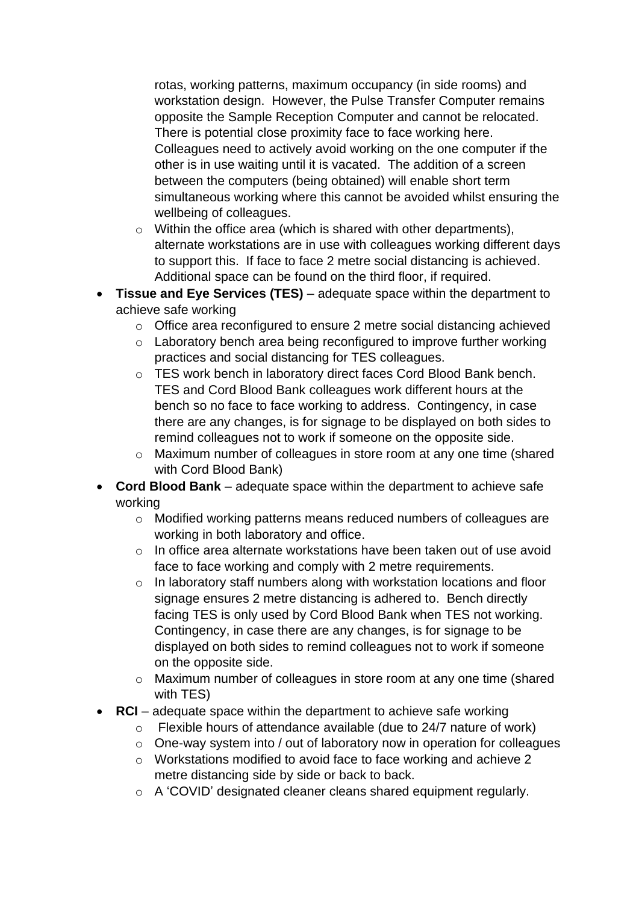rotas, working patterns, maximum occupancy (in side rooms) and workstation design. However, the Pulse Transfer Computer remains opposite the Sample Reception Computer and cannot be relocated. There is potential close proximity face to face working here. Colleagues need to actively avoid working on the one computer if the other is in use waiting until it is vacated. The addition of a screen between the computers (being obtained) will enable short term simultaneous working where this cannot be avoided whilst ensuring the wellbeing of colleagues.

- $\circ$  Within the office area (which is shared with other departments), alternate workstations are in use with colleagues working different days to support this. If face to face 2 metre social distancing is achieved. Additional space can be found on the third floor, if required.
- **Tissue and Eye Services (TES)** adequate space within the department to achieve safe working
	- o Office area reconfigured to ensure 2 metre social distancing achieved
	- o Laboratory bench area being reconfigured to improve further working practices and social distancing for TES colleagues.
	- o TES work bench in laboratory direct faces Cord Blood Bank bench. TES and Cord Blood Bank colleagues work different hours at the bench so no face to face working to address. Contingency, in case there are any changes, is for signage to be displayed on both sides to remind colleagues not to work if someone on the opposite side.
	- o Maximum number of colleagues in store room at any one time (shared with Cord Blood Bank)
- **Cord Blood Bank**  adequate space within the department to achieve safe working
	- o Modified working patterns means reduced numbers of colleagues are working in both laboratory and office.
	- $\circ$  In office area alternate workstations have been taken out of use avoid face to face working and comply with 2 metre requirements.
	- o In laboratory staff numbers along with workstation locations and floor signage ensures 2 metre distancing is adhered to. Bench directly facing TES is only used by Cord Blood Bank when TES not working. Contingency, in case there are any changes, is for signage to be displayed on both sides to remind colleagues not to work if someone on the opposite side.
	- o Maximum number of colleagues in store room at any one time (shared with TES)
- **RCI** adequate space within the department to achieve safe working
	- o Flexible hours of attendance available (due to 24/7 nature of work)
	- o One-way system into / out of laboratory now in operation for colleagues
	- o Workstations modified to avoid face to face working and achieve 2 metre distancing side by side or back to back.
	- o A 'COVID' designated cleaner cleans shared equipment regularly.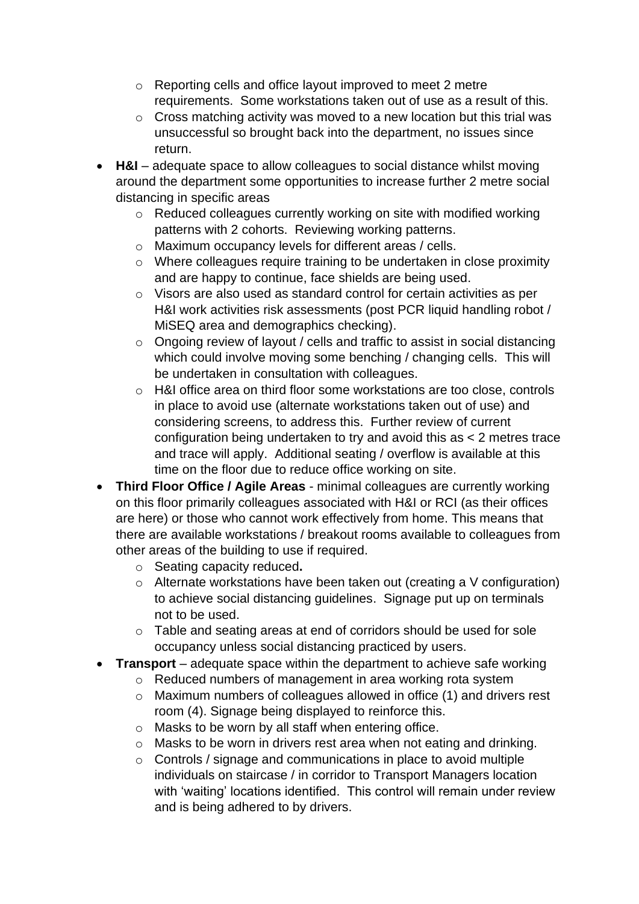- o Reporting cells and office layout improved to meet 2 metre requirements. Some workstations taken out of use as a result of this.
- o Cross matching activity was moved to a new location but this trial was unsuccessful so brought back into the department, no issues since return.
- **H&I**  adequate space to allow colleagues to social distance whilst moving around the department some opportunities to increase further 2 metre social distancing in specific areas
	- o Reduced colleagues currently working on site with modified working patterns with 2 cohorts. Reviewing working patterns.
	- o Maximum occupancy levels for different areas / cells.
	- o Where colleagues require training to be undertaken in close proximity and are happy to continue, face shields are being used.
	- o Visors are also used as standard control for certain activities as per H&I work activities risk assessments (post PCR liquid handling robot / MiSEQ area and demographics checking).
	- o Ongoing review of layout / cells and traffic to assist in social distancing which could involve moving some benching / changing cells. This will be undertaken in consultation with colleagues.
	- o H&I office area on third floor some workstations are too close, controls in place to avoid use (alternate workstations taken out of use) and considering screens, to address this. Further review of current configuration being undertaken to try and avoid this as < 2 metres trace and trace will apply. Additional seating / overflow is available at this time on the floor due to reduce office working on site.
- **Third Floor Office / Agile Areas** minimal colleagues are currently working on this floor primarily colleagues associated with H&I or RCI (as their offices are here) or those who cannot work effectively from home. This means that there are available workstations / breakout rooms available to colleagues from other areas of the building to use if required.
	- o Seating capacity reduced**.**
	- o Alternate workstations have been taken out (creating a V configuration) to achieve social distancing guidelines. Signage put up on terminals not to be used.
	- o Table and seating areas at end of corridors should be used for sole occupancy unless social distancing practiced by users.
- **Transport**  adequate space within the department to achieve safe working
	- o Reduced numbers of management in area working rota system
	- o Maximum numbers of colleagues allowed in office (1) and drivers rest room (4). Signage being displayed to reinforce this.
	- o Masks to be worn by all staff when entering office.
	- o Masks to be worn in drivers rest area when not eating and drinking.
	- o Controls / signage and communications in place to avoid multiple individuals on staircase / in corridor to Transport Managers location with 'waiting' locations identified. This control will remain under review and is being adhered to by drivers.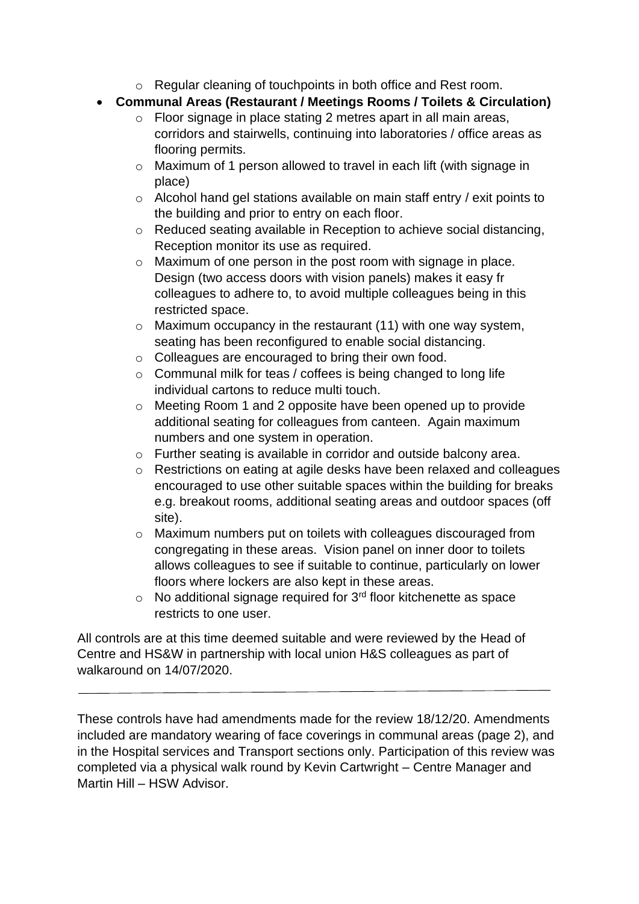- o Regular cleaning of touchpoints in both office and Rest room.
- **Communal Areas (Restaurant / Meetings Rooms / Toilets & Circulation)**
	- o Floor signage in place stating 2 metres apart in all main areas, corridors and stairwells, continuing into laboratories / office areas as flooring permits.
	- o Maximum of 1 person allowed to travel in each lift (with signage in place)
	- o Alcohol hand gel stations available on main staff entry / exit points to the building and prior to entry on each floor.
	- o Reduced seating available in Reception to achieve social distancing, Reception monitor its use as required.
	- o Maximum of one person in the post room with signage in place. Design (two access doors with vision panels) makes it easy fr colleagues to adhere to, to avoid multiple colleagues being in this restricted space.
	- o Maximum occupancy in the restaurant (11) with one way system, seating has been reconfigured to enable social distancing.
	- o Colleagues are encouraged to bring their own food.
	- o Communal milk for teas / coffees is being changed to long life individual cartons to reduce multi touch.
	- o Meeting Room 1 and 2 opposite have been opened up to provide additional seating for colleagues from canteen. Again maximum numbers and one system in operation.
	- o Further seating is available in corridor and outside balcony area.
	- o Restrictions on eating at agile desks have been relaxed and colleagues encouraged to use other suitable spaces within the building for breaks e.g. breakout rooms, additional seating areas and outdoor spaces (off site).
	- o Maximum numbers put on toilets with colleagues discouraged from congregating in these areas. Vision panel on inner door to toilets allows colleagues to see if suitable to continue, particularly on lower floors where lockers are also kept in these areas.
	- $\circ$  No additional signage required for 3<sup>rd</sup> floor kitchenette as space restricts to one user.

All controls are at this time deemed suitable and were reviewed by the Head of Centre and HS&W in partnership with local union H&S colleagues as part of walkaround on 14/07/2020.

These controls have had amendments made for the review 18/12/20. Amendments included are mandatory wearing of face coverings in communal areas (page 2), and in the Hospital services and Transport sections only. Participation of this review was completed via a physical walk round by Kevin Cartwright – Centre Manager and Martin Hill – HSW Advisor.